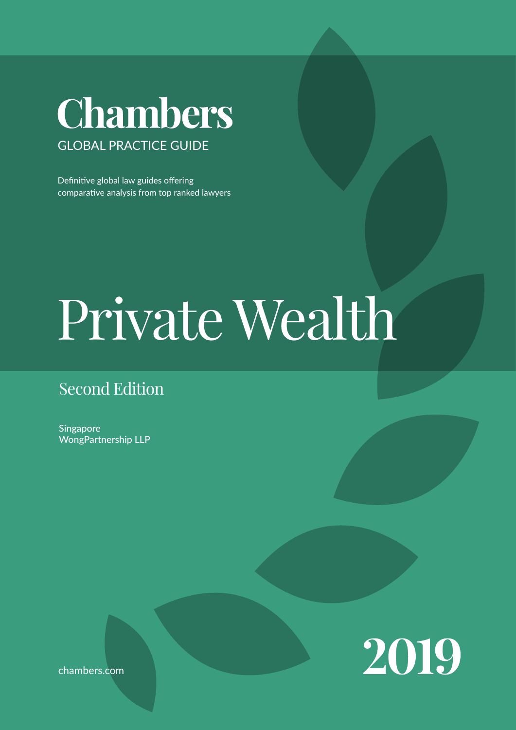## Chambers GLOBAL PRACTICE GUIDE

Definitive global law guides offering comparative analysis from top ranked lawyers

# Private Wealth

## Second Edition

Singapore WongPartnership LLP



chambers.com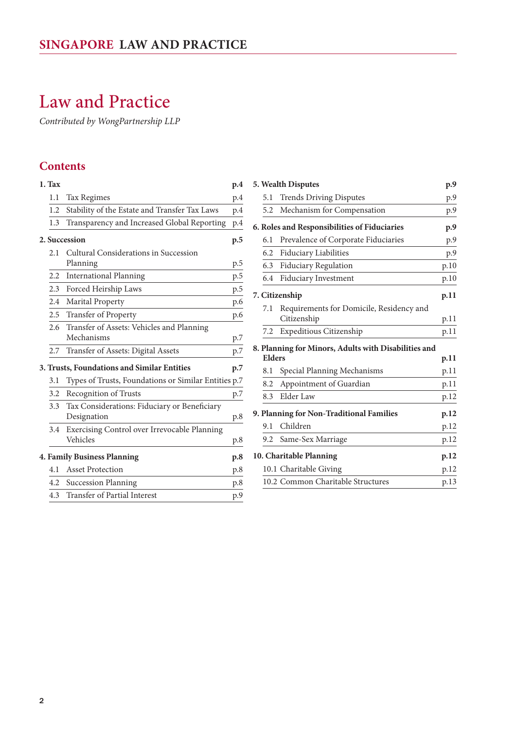## Law and Practice

*Contributed by WongPartnership LLP*

#### **Contents**

| 1. Tax        |                                                             | p.4 |
|---------------|-------------------------------------------------------------|-----|
| 1.1           | <b>Tax Regimes</b>                                          | p.4 |
| 1.2           | Stability of the Estate and Transfer Tax Laws               | p.4 |
| 1.3           | Transparency and Increased Global Reporting                 | p.4 |
|               | 2. Succession                                               | p.5 |
| 2.1           | Cultural Considerations in Succession<br>Planning           | p.5 |
| $2.2^{\circ}$ | <b>International Planning</b>                               | p.5 |
| 2.3           | Forced Heirship Laws                                        | p.5 |
| $2.4^{\circ}$ | Marital Property                                            | p.6 |
| 2.5           | Transfer of Property                                        | p.6 |
| 2.6           | Transfer of Assets: Vehicles and Planning<br>Mechanisms     | p.7 |
| 2.7           | Transfer of Assets: Digital Assets                          | p.7 |
|               | 3. Trusts, Foundations and Similar Entities                 | p.7 |
| 3.1           | Types of Trusts, Foundations or Similar Entities p.7        |     |
| 3.2           | Recognition of Trusts                                       | p.7 |
| 3.3           | Tax Considerations: Fiduciary or Beneficiary<br>Designation | p.8 |
| 3.4           | Exercising Control over Irrevocable Planning<br>Vehicles    | p.8 |
|               | 4. Family Business Planning                                 | p.8 |
| 4.1           | <b>Asset Protection</b>                                     | p.8 |
| 4.2           | <b>Succession Planning</b>                                  | p.8 |
| 4.3           | Transfer of Partial Interest                                | p.9 |

|               | 5. Wealth Disputes                                      | p.9  |
|---------------|---------------------------------------------------------|------|
| 5.1           | <b>Trends Driving Disputes</b>                          | p.9  |
| 5.2           | Mechanism for Compensation                              | p.9  |
|               | 6. Roles and Responsibilities of Fiduciaries            | p.9  |
| 6.1           | Prevalence of Corporate Fiduciaries                     | p.9  |
| 6.2           | Fiduciary Liabilities                                   | p.9  |
| 6.3           | <b>Fiduciary Regulation</b>                             | p.10 |
| 6.4           | Fiduciary Investment                                    | p.10 |
|               | 7. Citizenship                                          | p.11 |
| 7.1           | Requirements for Domicile, Residency and<br>Citizenship | p.11 |
| 7.2           | Expeditious Citizenship                                 | p.11 |
| <b>Elders</b> | 8. Planning for Minors, Adults with Disabilities and    | p.11 |
| 8.1           | Special Planning Mechanisms                             | p.11 |
| 8.2           | Appointment of Guardian                                 | p.11 |
| 8.3           | Elder Law                                               | p.12 |
|               | 9. Planning for Non-Traditional Families                | p.12 |
| 9.1           | Children                                                | p.12 |
|               | 9.2 Same-Sex Marriage                                   | p.12 |
|               | 10. Charitable Planning                                 | p.12 |
|               | 10.1 Charitable Giving                                  | p.12 |
|               | 10.2 Common Charitable Structures                       | p.13 |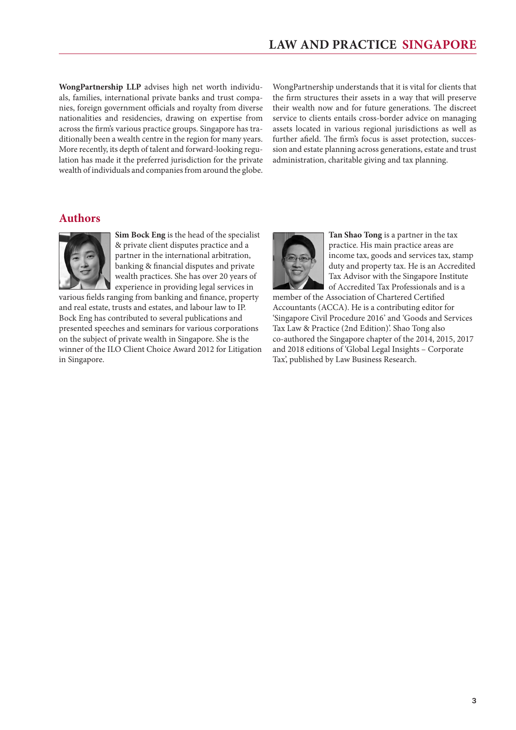**WongPartnership LLP** advises high net worth individuals, families, international private banks and trust companies, foreign government officials and royalty from diverse nationalities and residencies, drawing on expertise from across the firm's various practice groups. Singapore has traditionally been a wealth centre in the region for many years. More recently, its depth of talent and forward-looking regulation has made it the preferred jurisdiction for the private wealth of individuals and companies from around the globe.

WongPartnership understands that it is vital for clients that the firm structures their assets in a way that will preserve their wealth now and for future generations. The discreet service to clients entails cross-border advice on managing assets located in various regional jurisdictions as well as further afield. The firm's focus is asset protection, succession and estate planning across generations, estate and trust administration, charitable giving and tax planning.

#### **Authors**



**Sim Bock Eng** is the head of the specialist & private client disputes practice and a partner in the international arbitration, banking & financial disputes and private wealth practices. She has over 20 years of experience in providing legal services in

various fields ranging from banking and finance, property and real estate, trusts and estates, and labour law to IP. Bock Eng has contributed to several publications and presented speeches and seminars for various corporations on the subject of private wealth in Singapore. She is the winner of the ILO Client Choice Award 2012 for Litigation in Singapore.



**Tan Shao Tong** is a partner in the tax practice. His main practice areas are income tax, goods and services tax, stamp duty and property tax. He is an Accredited Tax Advisor with the Singapore Institute of Accredited Tax Professionals and is a

member of the Association of Chartered Certified Accountants (ACCA). He is a contributing editor for 'Singapore Civil Procedure 2016' and 'Goods and Services Tax Law & Practice (2nd Edition)'. Shao Tong also co-authored the Singapore chapter of the 2014, 2015, 2017 and 2018 editions of 'Global Legal Insights – Corporate Tax', published by Law Business Research.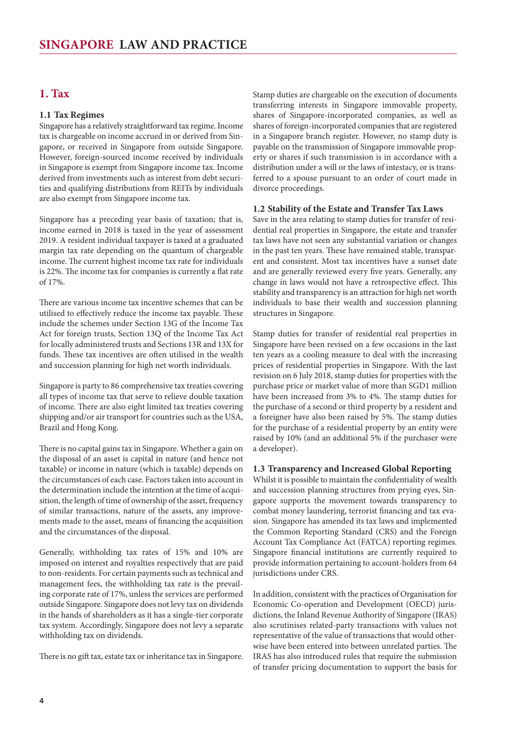#### <span id="page-3-0"></span>**1. Tax**

#### **1.1 Tax Regimes**

Singapore has a relatively straightforward tax regime. Income tax is chargeable on income accrued in or derived from Singapore, or received in Singapore from outside Singapore. However, foreign-sourced income received by individuals in Singapore is exempt from Singapore income tax. Income derived from investments such as interest from debt securities and qualifying distributions from REITs by individuals are also exempt from Singapore income tax.

Singapore has a preceding year basis of taxation; that is, income earned in 2018 is taxed in the year of assessment 2019. A resident individual taxpayer is taxed at a graduated margin tax rate depending on the quantum of chargeable income. The current highest income tax rate for individuals is 22%. The income tax for companies is currently a flat rate of 17%.

There are various income tax incentive schemes that can be utilised to effectively reduce the income tax payable. These include the schemes under Section 13G of the Income Tax Act for foreign trusts, Section 13Q of the Income Tax Act for locally administered trusts and Sections 13R and 13X for funds. These tax incentives are often utilised in the wealth and succession planning for high net worth individuals.

Singapore is party to 86 comprehensive tax treaties covering all types of income tax that serve to relieve double taxation of income. There are also eight limited tax treaties covering shipping and/or air transport for countries such as the USA, Brazil and Hong Kong.

There is no capital gains tax in Singapore. Whether a gain on the disposal of an asset is capital in nature (and hence not taxable) or income in nature (which is taxable) depends on the circumstances of each case. Factors taken into account in the determination include the intention at the time of acquisition, the length of time of ownership of the asset, frequency of similar transactions, nature of the assets, any improvements made to the asset, means of financing the acquisition and the circumstances of the disposal.

Generally, withholding tax rates of 15% and 10% are imposed on interest and royalties respectively that are paid to non-residents. For certain payments such as technical and management fees, the withholding tax rate is the prevailing corporate rate of 17%, unless the services are performed outside Singapore. Singapore does not levy tax on dividends in the hands of shareholders as it has a single-tier corporate tax system. Accordingly, Singapore does not levy a separate withholding tax on dividends.

There is no gift tax, estate tax or inheritance tax in Singapore.

Stamp duties are chargeable on the execution of documents transferring interests in Singapore immovable property, shares of Singapore-incorporated companies, as well as shares of foreign-incorporated companies that are registered in a Singapore branch register. However, no stamp duty is payable on the transmission of Singapore immovable property or shares if such transmission is in accordance with a distribution under a will or the laws of intestacy, or is transferred to a spouse pursuant to an order of court made in divorce proceedings.

#### **1.2 Stability of the Estate and Transfer Tax Laws**

Save in the area relating to stamp duties for transfer of residential real properties in Singapore, the estate and transfer tax laws have not seen any substantial variation or changes in the past ten years. These have remained stable, transparent and consistent. Most tax incentives have a sunset date and are generally reviewed every five years. Generally, any change in laws would not have a retrospective effect. This stability and transparency is an attraction for high net worth individuals to base their wealth and succession planning structures in Singapore.

Stamp duties for transfer of residential real properties in Singapore have been revised on a few occasions in the last ten years as a cooling measure to deal with the increasing prices of residential properties in Singapore. With the last revision on 6 July 2018, stamp duties for properties with the purchase price or market value of more than SGD1 million have been increased from 3% to 4%. The stamp duties for the purchase of a second or third property by a resident and a foreigner have also been raised by 5%. The stamp duties for the purchase of a residential property by an entity were raised by 10% (and an additional 5% if the purchaser were a developer).

#### **1.3 Transparency and Increased Global Reporting**

Whilst it is possible to maintain the confidentiality of wealth and succession planning structures from prying eyes, Singapore supports the movement towards transparency to combat money laundering, terrorist financing and tax evasion. Singapore has amended its tax laws and implemented the Common Reporting Standard (CRS) and the Foreign Account Tax Compliance Act (FATCA) reporting regimes. Singapore financial institutions are currently required to provide information pertaining to account-holders from 64 jurisdictions under CRS.

In addition, consistent with the practices of Organisation for Economic Co-operation and Development (OECD) jurisdictions, the Inland Revenue Authority of Singapore (IRAS) also scrutinises related-party transactions with values not representative of the value of transactions that would otherwise have been entered into between unrelated parties. The IRAS has also introduced rules that require the submission of transfer pricing documentation to support the basis for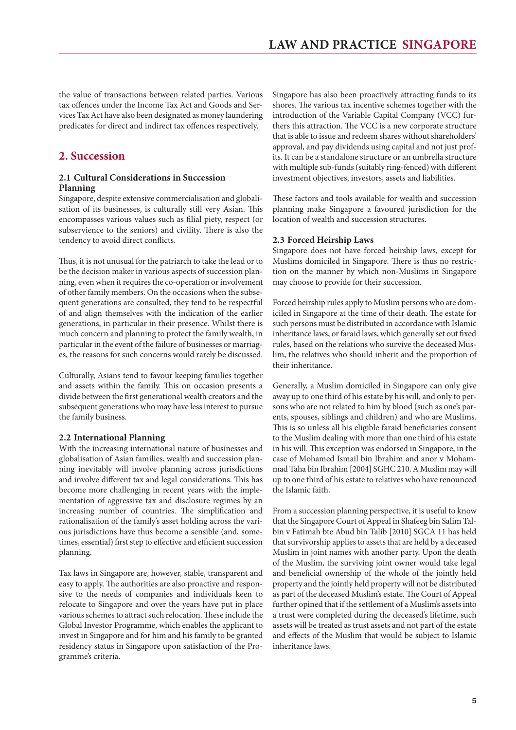<span id="page-4-0"></span>the value of transactions between related parties. Various tax offences under the Income Tax Act and Goods and Services Tax Act have also been designated as money laundering predicates for direct and indirect tax offences respectively.

#### **2. Succession**

#### **2.1 Cultural Considerations in Succession Planning**

Singapore, despite extensive commercialisation and globalisation of its businesses, is culturally still very Asian. This encompasses various values such as filial piety, respect (or subservience to the seniors) and civility. There is also the tendency to avoid direct conflicts.

Thus, it is not unusual for the patriarch to take the lead or to be the decision maker in various aspects of succession planning, even when it requires the co-operation or involvement of other family members. On the occasions when the subsequent generations are consulted, they tend to be respectful of and align themselves with the indication of the earlier generations, in particular in their presence. Whilst there is much concern and planning to protect the family wealth, in particular in the event of the failure of businesses or marriages, the reasons for such concerns would rarely be discussed.

Culturally, Asians tend to favour keeping families together and assets within the family. This on occasion presents a divide between the first generational wealth creators and the subsequent generations who may have less interest to pursue the family business.

#### **2.2 International Planning**

With the increasing international nature of businesses and globalisation of Asian families, wealth and succession planning inevitably will involve planning across jurisdictions and involve different tax and legal considerations. This has become more challenging in recent years with the implementation of aggressive tax and disclosure regimes by an increasing number of countries. The simplification and rationalisation of the family's asset holding across the various jurisdictions have thus become a sensible (and, sometimes, essential) first step to effective and efficient succession planning.

Tax laws in Singapore are, however, stable, transparent and easy to apply. The authorities are also proactive and responsive to the needs of companies and individuals keen to relocate to Singapore and over the years have put in place various schemes to attract such relocation. These include the Global Investor Programme, which enables the applicant to invest in Singapore and for him and his family to be granted residency status in Singapore upon satisfaction of the Programme's criteria.

Singapore has also been proactively attracting funds to its shores. The various tax incentive schemes together with the introduction of the Variable Capital Company (VCC) furthers this attraction. The VCC is a new corporate structure that is able to issue and redeem shares without shareholders' approval, and pay dividends using capital and not just profits. It can be a standalone structure or an umbrella structure with multiple sub-funds (suitably ring-fenced) with different investment objectives, investors, assets and liabilities.

These factors and tools available for wealth and succession planning make Singapore a favoured jurisdiction for the location of wealth and succession structures.

#### **2.3 Forced Heirship Laws**

Singapore does not have forced heirship laws, except for Muslims domiciled in Singapore. There is thus no restriction on the manner by which non-Muslims in Singapore may choose to provide for their succession.

Forced heirship rules apply to Muslim persons who are domiciled in Singapore at the time of their death. The estate for such persons must be distributed in accordance with Islamic inheritance laws, or faraid laws, which generally set out fixed rules, based on the relations who survive the deceased Muslim, the relatives who should inherit and the proportion of their inheritance.

Generally, a Muslim domiciled in Singapore can only give away up to one third of his estate by his will, and only to persons who are not related to him by blood (such as one's parents, spouses, siblings and children) and who are Muslims. This is so unless all his eligible faraid beneficiaries consent to the Muslim dealing with more than one third of his estate in his will. This exception was endorsed in Singapore, in the case of Mohamed Ismail bin Ibrahim and anor v Mohammad Taha bin Ibrahim [2004] SGHC 210. A Muslim may will up to one third of his estate to relatives who have renounced the Islamic faith.

From a succession planning perspective, it is useful to know that the Singapore Court of Appeal in Shafeeg bin Salim Talbin v Fatimah bte Abud bin Talib [2010] SGCA 11 has held that survivorship applies to assets that are held by a deceased Muslim in joint names with another party. Upon the death of the Muslim, the surviving joint owner would take legal and beneficial ownership of the whole of the jointly held property and the jointly held property will not be distributed as part of the deceased Muslim's estate. The Court of Appeal further opined that if the settlement of a Muslim's assets into a trust were completed during the deceased's lifetime, such assets will be treated as trust assets and not part of the estate and effects of the Muslim that would be subject to Islamic inheritance laws.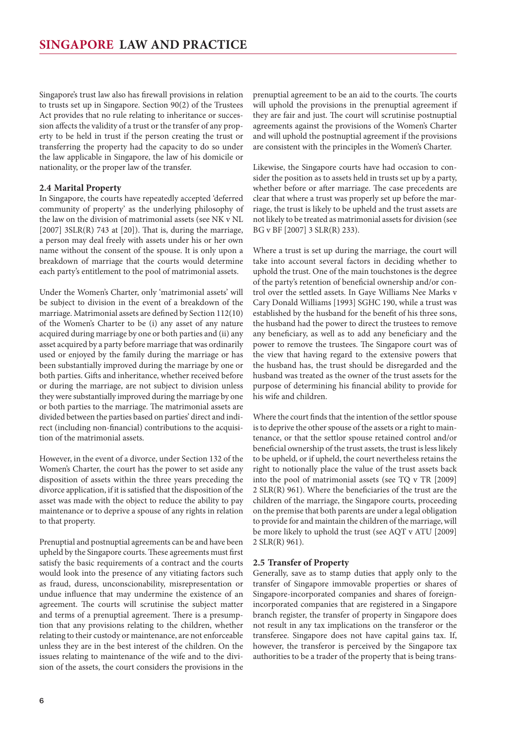<span id="page-5-0"></span>Singapore's trust law also has firewall provisions in relation to trusts set up in Singapore. Section 90(2) of the Trustees Act provides that no rule relating to inheritance or succession affects the validity of a trust or the transfer of any property to be held in trust if the person creating the trust or transferring the property had the capacity to do so under the law applicable in Singapore, the law of his domicile or nationality, or the proper law of the transfer.

#### **2.4 Marital Property**

In Singapore, the courts have repeatedly accepted 'deferred community of property' as the underlying philosophy of the law on the division of matrimonial assets (see NK v NL  $[2007]$  3SLR(R) 743 at  $[20]$ ). That is, during the marriage, a person may deal freely with assets under his or her own name without the consent of the spouse. It is only upon a breakdown of marriage that the courts would determine each party's entitlement to the pool of matrimonial assets.

Under the Women's Charter, only 'matrimonial assets' will be subject to division in the event of a breakdown of the marriage. Matrimonial assets are defined by Section 112(10) of the Women's Charter to be (i) any asset of any nature acquired during marriage by one or both parties and (ii) any asset acquired by a party before marriage that was ordinarily used or enjoyed by the family during the marriage or has been substantially improved during the marriage by one or both parties. Gifts and inheritance, whether received before or during the marriage, are not subject to division unless they were substantially improved during the marriage by one or both parties to the marriage. The matrimonial assets are divided between the parties based on parties' direct and indirect (including non-financial) contributions to the acquisition of the matrimonial assets.

However, in the event of a divorce, under Section 132 of the Women's Charter, the court has the power to set aside any disposition of assets within the three years preceding the divorce application, if it is satisfied that the disposition of the asset was made with the object to reduce the ability to pay maintenance or to deprive a spouse of any rights in relation to that property.

Prenuptial and postnuptial agreements can be and have been upheld by the Singapore courts. These agreements must first satisfy the basic requirements of a contract and the courts would look into the presence of any vitiating factors such as fraud, duress, unconscionability, misrepresentation or undue influence that may undermine the existence of an agreement. The courts will scrutinise the subject matter and terms of a prenuptial agreement. There is a presumption that any provisions relating to the children, whether relating to their custody or maintenance, are not enforceable unless they are in the best interest of the children. On the issues relating to maintenance of the wife and to the division of the assets, the court considers the provisions in the prenuptial agreement to be an aid to the courts. The courts will uphold the provisions in the prenuptial agreement if they are fair and just. The court will scrutinise postnuptial agreements against the provisions of the Women's Charter and will uphold the postnuptial agreement if the provisions are consistent with the principles in the Women's Charter.

Likewise, the Singapore courts have had occasion to consider the position as to assets held in trusts set up by a party, whether before or after marriage. The case precedents are clear that where a trust was properly set up before the marriage, the trust is likely to be upheld and the trust assets are not likely to be treated as matrimonial assets for division (see BG v BF [2007] 3 SLR(R) 233).

Where a trust is set up during the marriage, the court will take into account several factors in deciding whether to uphold the trust. One of the main touchstones is the degree of the party's retention of beneficial ownership and/or control over the settled assets. In Gaye Williams Nee Marks v Cary Donald Williams [1993] SGHC 190, while a trust was established by the husband for the benefit of his three sons, the husband had the power to direct the trustees to remove any beneficiary, as well as to add any beneficiary and the power to remove the trustees. The Singapore court was of the view that having regard to the extensive powers that the husband has, the trust should be disregarded and the husband was treated as the owner of the trust assets for the purpose of determining his financial ability to provide for his wife and children.

Where the court finds that the intention of the settlor spouse is to deprive the other spouse of the assets or a right to maintenance, or that the settlor spouse retained control and/or beneficial ownership of the trust assets, the trust is less likely to be upheld, or if upheld, the court nevertheless retains the right to notionally place the value of the trust assets back into the pool of matrimonial assets (see TQ v TR [2009] 2 SLR(R) 961). Where the beneficiaries of the trust are the children of the marriage, the Singapore courts, proceeding on the premise that both parents are under a legal obligation to provide for and maintain the children of the marriage, will be more likely to uphold the trust (see AQT v ATU [2009] 2 SLR(R) 961).

#### **2.5 Transfer of Property**

Generally, save as to stamp duties that apply only to the transfer of Singapore immovable properties or shares of Singapore-incorporated companies and shares of foreignincorporated companies that are registered in a Singapore branch register, the transfer of property in Singapore does not result in any tax implications on the transferor or the transferee. Singapore does not have capital gains tax. If, however, the transferor is perceived by the Singapore tax authorities to be a trader of the property that is being trans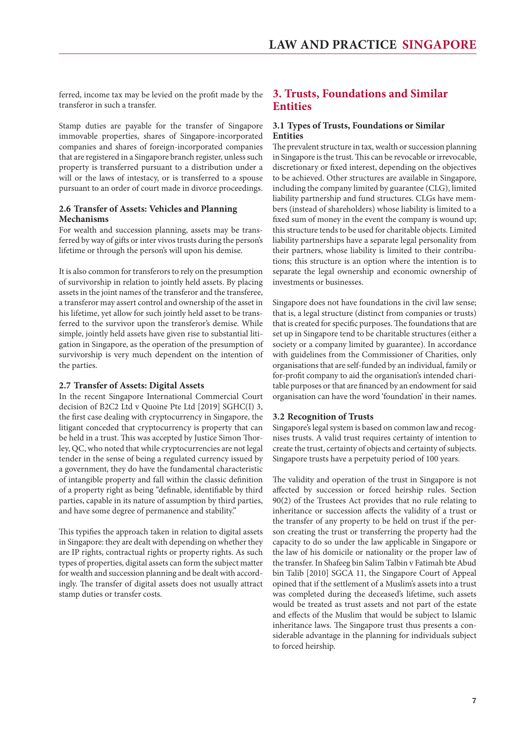<span id="page-6-0"></span>ferred, income tax may be levied on the profit made by the transferor in such a transfer.

Stamp duties are payable for the transfer of Singapore immovable properties, shares of Singapore-incorporated companies and shares of foreign-incorporated companies that are registered in a Singapore branch register, unless such property is transferred pursuant to a distribution under a will or the laws of intestacy, or is transferred to a spouse pursuant to an order of court made in divorce proceedings.

#### **2.6 Transfer of Assets: Vehicles and Planning Mechanisms**

For wealth and succession planning, assets may be transferred by way of gifts or inter vivos trusts during the person's lifetime or through the person's will upon his demise.

It is also common for transferors to rely on the presumption of survivorship in relation to jointly held assets. By placing assets in the joint names of the transferor and the transferee, a transferor may assert control and ownership of the asset in his lifetime, yet allow for such jointly held asset to be transferred to the survivor upon the transferor's demise. While simple, jointly held assets have given rise to substantial litigation in Singapore, as the operation of the presumption of survivorship is very much dependent on the intention of the parties.

#### **2.7 Transfer of Assets: Digital Assets**

In the recent Singapore International Commercial Court decision of B2C2 Ltd v Quoine Pte Ltd [2019] SGHC(I) 3, the first case dealing with cryptocurrency in Singapore, the litigant conceded that cryptocurrency is property that can be held in a trust. This was accepted by Justice Simon Thorley, QC, who noted that while cryptocurrencies are not legal tender in the sense of being a regulated currency issued by a government, they do have the fundamental characteristic of intangible property and fall within the classic definition of a property right as being "definable, identifiable by third parties, capable in its nature of assumption by third parties, and have some degree of permanence and stability."

This typifies the approach taken in relation to digital assets in Singapore: they are dealt with depending on whether they are IP rights, contractual rights or property rights. As such types of properties, digital assets can form the subject matter for wealth and succession planning and be dealt with accordingly. The transfer of digital assets does not usually attract stamp duties or transfer costs.

#### **3. Trusts, Foundations and Similar Entities**

#### **3.1 Types of Trusts, Foundations or Similar Entities**

The prevalent structure in tax, wealth or succession planning in Singapore is the trust. This can be revocable or irrevocable, discretionary or fixed interest, depending on the objectives to be achieved. Other structures are available in Singapore, including the company limited by guarantee (CLG), limited liability partnership and fund structures. CLGs have members (instead of shareholders) whose liability is limited to a fixed sum of money in the event the company is wound up; this structure tends to be used for charitable objects. Limited liability partnerships have a separate legal personality from their partners, whose liability is limited to their contributions; this structure is an option where the intention is to separate the legal ownership and economic ownership of investments or businesses.

Singapore does not have foundations in the civil law sense; that is, a legal structure (distinct from companies or trusts) that is created for specific purposes. The foundations that are set up in Singapore tend to be charitable structures (either a society or a company limited by guarantee). In accordance with guidelines from the Commissioner of Charities, only organisations that are self-funded by an individual, family or for-profit company to aid the organisation's intended charitable purposes or that are financed by an endowment for said organisation can have the word 'foundation' in their names.

#### **3.2 Recognition of Trusts**

Singapore's legal system is based on common law and recognises trusts. A valid trust requires certainty of intention to create the trust, certainty of objects and certainty of subjects. Singapore trusts have a perpetuity period of 100 years.

The validity and operation of the trust in Singapore is not affected by succession or forced heirship rules. Section 90(2) of the Trustees Act provides that no rule relating to inheritance or succession affects the validity of a trust or the transfer of any property to be held on trust if the person creating the trust or transferring the property had the capacity to do so under the law applicable in Singapore or the law of his domicile or nationality or the proper law of the transfer. In Shafeeg bin Salim Talbin v Fatimah bte Abud bin Talib [2010] SGCA 11, the Singapore Court of Appeal opined that if the settlement of a Muslim's assets into a trust was completed during the deceased's lifetime, such assets would be treated as trust assets and not part of the estate and effects of the Muslim that would be subject to Islamic inheritance laws. The Singapore trust thus presents a considerable advantage in the planning for individuals subject to forced heirship.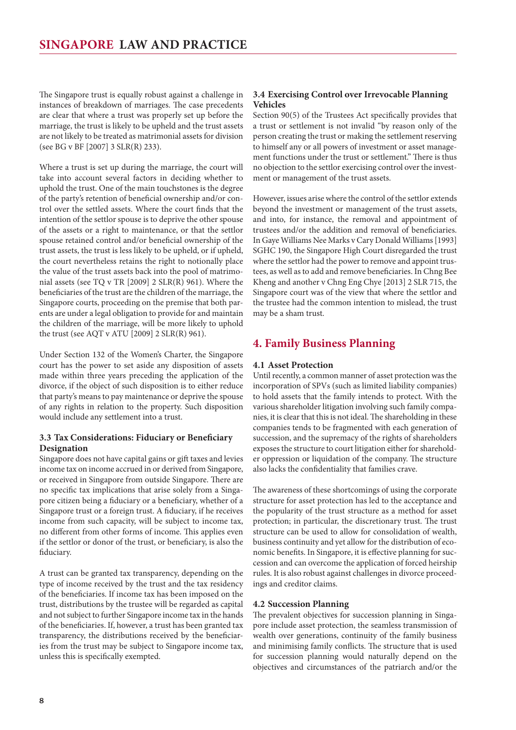<span id="page-7-0"></span>The Singapore trust is equally robust against a challenge in instances of breakdown of marriages. The case precedents are clear that where a trust was properly set up before the marriage, the trust is likely to be upheld and the trust assets are not likely to be treated as matrimonial assets for division (see BG v BF [2007] 3 SLR(R) 233).

Where a trust is set up during the marriage, the court will take into account several factors in deciding whether to uphold the trust. One of the main touchstones is the degree of the party's retention of beneficial ownership and/or control over the settled assets. Where the court finds that the intention of the settlor spouse is to deprive the other spouse of the assets or a right to maintenance, or that the settlor spouse retained control and/or beneficial ownership of the trust assets, the trust is less likely to be upheld, or if upheld, the court nevertheless retains the right to notionally place the value of the trust assets back into the pool of matrimonial assets (see TQ v TR [2009] 2 SLR(R) 961). Where the beneficiaries of the trust are the children of the marriage, the Singapore courts, proceeding on the premise that both parents are under a legal obligation to provide for and maintain the children of the marriage, will be more likely to uphold the trust (see AQT v ATU [2009] 2 SLR(R) 961).

Under Section 132 of the Women's Charter, the Singapore court has the power to set aside any disposition of assets made within three years preceding the application of the divorce, if the object of such disposition is to either reduce that party's means to pay maintenance or deprive the spouse of any rights in relation to the property. Such disposition would include any settlement into a trust.

#### **3.3 Tax Considerations: Fiduciary or Beneficiary Designation**

Singapore does not have capital gains or gift taxes and levies income tax on income accrued in or derived from Singapore, or received in Singapore from outside Singapore. There are no specific tax implications that arise solely from a Singapore citizen being a fiduciary or a beneficiary, whether of a Singapore trust or a foreign trust. A fiduciary, if he receives income from such capacity, will be subject to income tax, no different from other forms of income. This applies even if the settlor or donor of the trust, or beneficiary, is also the fiduciary.

A trust can be granted tax transparency, depending on the type of income received by the trust and the tax residency of the beneficiaries. If income tax has been imposed on the trust, distributions by the trustee will be regarded as capital and not subject to further Singapore income tax in the hands of the beneficiaries. If, however, a trust has been granted tax transparency, the distributions received by the beneficiaries from the trust may be subject to Singapore income tax, unless this is specifically exempted.

#### **3.4 Exercising Control over Irrevocable Planning Vehicles**

Section 90(5) of the Trustees Act specifically provides that a trust or settlement is not invalid "by reason only of the person creating the trust or making the settlement reserving to himself any or all powers of investment or asset management functions under the trust or settlement." There is thus no objection to the settlor exercising control over the investment or management of the trust assets.

However, issues arise where the control of the settlor extends beyond the investment or management of the trust assets, and into, for instance, the removal and appointment of trustees and/or the addition and removal of beneficiaries. In Gaye Williams Nee Marks v Cary Donald Williams [1993] SGHC 190, the Singapore High Court disregarded the trust where the settlor had the power to remove and appoint trustees, as well as to add and remove beneficiaries. In Chng Bee Kheng and another v Chng Eng Chye [2013] 2 SLR 715, the Singapore court was of the view that where the settlor and the trustee had the common intention to mislead, the trust may be a sham trust.

#### **4. Family Business Planning**

#### **4.1 Asset Protection**

Until recently, a common manner of asset protection was the incorporation of SPVs (such as limited liability companies) to hold assets that the family intends to protect. With the various shareholder litigation involving such family companies, it is clear that this is not ideal. The shareholding in these companies tends to be fragmented with each generation of succession, and the supremacy of the rights of shareholders exposes the structure to court litigation either for shareholder oppression or liquidation of the company. The structure also lacks the confidentiality that families crave.

The awareness of these shortcomings of using the corporate structure for asset protection has led to the acceptance and the popularity of the trust structure as a method for asset protection; in particular, the discretionary trust. The trust structure can be used to allow for consolidation of wealth, business continuity and yet allow for the distribution of economic benefits. In Singapore, it is effective planning for succession and can overcome the application of forced heirship rules. It is also robust against challenges in divorce proceedings and creditor claims.

#### **4.2 Succession Planning**

The prevalent objectives for succession planning in Singapore include asset protection, the seamless transmission of wealth over generations, continuity of the family business and minimising family conflicts. The structure that is used for succession planning would naturally depend on the objectives and circumstances of the patriarch and/or the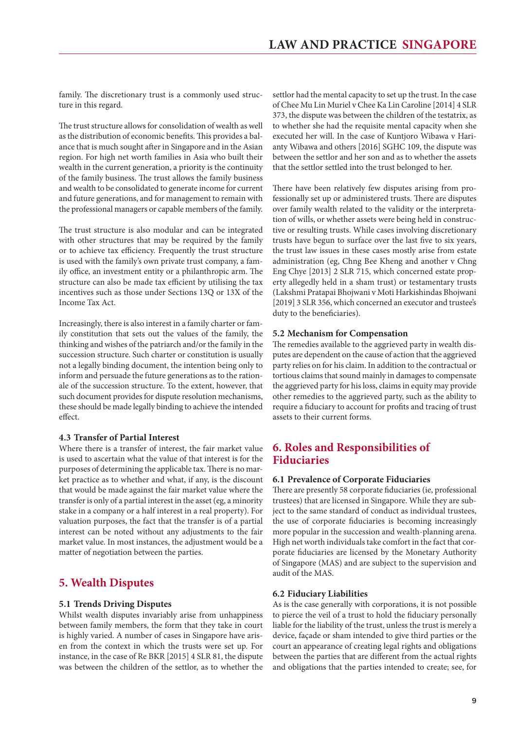<span id="page-8-0"></span>family. The discretionary trust is a commonly used structure in this regard.

The trust structure allows for consolidation of wealth as well as the distribution of economic benefits. This provides a balance that is much sought after in Singapore and in the Asian region. For high net worth families in Asia who built their wealth in the current generation, a priority is the continuity of the family business. The trust allows the family business and wealth to be consolidated to generate income for current and future generations, and for management to remain with the professional managers or capable members of the family.

The trust structure is also modular and can be integrated with other structures that may be required by the family or to achieve tax efficiency. Frequently the trust structure is used with the family's own private trust company, a family office, an investment entity or a philanthropic arm. The structure can also be made tax efficient by utilising the tax incentives such as those under Sections 13Q or 13X of the Income Tax Act.

Increasingly, there is also interest in a family charter or family constitution that sets out the values of the family, the thinking and wishes of the patriarch and/or the family in the succession structure. Such charter or constitution is usually not a legally binding document, the intention being only to inform and persuade the future generations as to the rationale of the succession structure. To the extent, however, that such document provides for dispute resolution mechanisms, these should be made legally binding to achieve the intended effect.

#### **4.3 Transfer of Partial Interest**

Where there is a transfer of interest, the fair market value is used to ascertain what the value of that interest is for the purposes of determining the applicable tax. There is no market practice as to whether and what, if any, is the discount that would be made against the fair market value where the transfer is only of a partial interest in the asset (eg, a minority stake in a company or a half interest in a real property). For valuation purposes, the fact that the transfer is of a partial interest can be noted without any adjustments to the fair market value. In most instances, the adjustment would be a matter of negotiation between the parties.

#### **5. Wealth Disputes**

#### **5.1 Trends Driving Disputes**

Whilst wealth disputes invariably arise from unhappiness between family members, the form that they take in court is highly varied. A number of cases in Singapore have arisen from the context in which the trusts were set up. For instance, in the case of Re BKR [2015] 4 SLR 81, the dispute was between the children of the settlor, as to whether the settlor had the mental capacity to set up the trust. In the case of Chee Mu Lin Muriel v Chee Ka Lin Caroline [2014] 4 SLR 373, the dispute was between the children of the testatrix, as to whether she had the requisite mental capacity when she executed her will. In the case of Kuntjoro Wibawa v Harianty Wibawa and others [2016] SGHC 109, the dispute was between the settlor and her son and as to whether the assets that the settlor settled into the trust belonged to her.

There have been relatively few disputes arising from professionally set up or administered trusts. There are disputes over family wealth related to the validity or the interpretation of wills, or whether assets were being held in constructive or resulting trusts. While cases involving discretionary trusts have begun to surface over the last five to six years, the trust law issues in these cases mostly arise from estate administration (eg, Chng Bee Kheng and another v Chng Eng Chye [2013] 2 SLR 715, which concerned estate property allegedly held in a sham trust) or testamentary trusts (Lakshmi Pratapai Bhojwani v Moti Harkishindas Bhojwani [2019] 3 SLR 356, which concerned an executor and trustee's duty to the beneficiaries).

#### **5.2 Mechanism for Compensation**

The remedies available to the aggrieved party in wealth disputes are dependent on the cause of action that the aggrieved party relies on for his claim. In addition to the contractual or tortious claims that sound mainly in damages to compensate the aggrieved party for his loss, claims in equity may provide other remedies to the aggrieved party, such as the ability to require a fiduciary to account for profits and tracing of trust assets to their current forms.

#### **6. Roles and Responsibilities of Fiduciaries**

#### **6.1 Prevalence of Corporate Fiduciaries**

There are presently 58 corporate fiduciaries (ie, professional trustees) that are licensed in Singapore. While they are subject to the same standard of conduct as individual trustees, the use of corporate fiduciaries is becoming increasingly more popular in the succession and wealth-planning arena. High net worth individuals take comfort in the fact that corporate fiduciaries are licensed by the Monetary Authority of Singapore (MAS) and are subject to the supervision and audit of the MAS.

#### **6.2 Fiduciary Liabilities**

As is the case generally with corporations, it is not possible to pierce the veil of a trust to hold the fiduciary personally liable for the liability of the trust, unless the trust is merely a device, façade or sham intended to give third parties or the court an appearance of creating legal rights and obligations between the parties that are different from the actual rights and obligations that the parties intended to create; see, for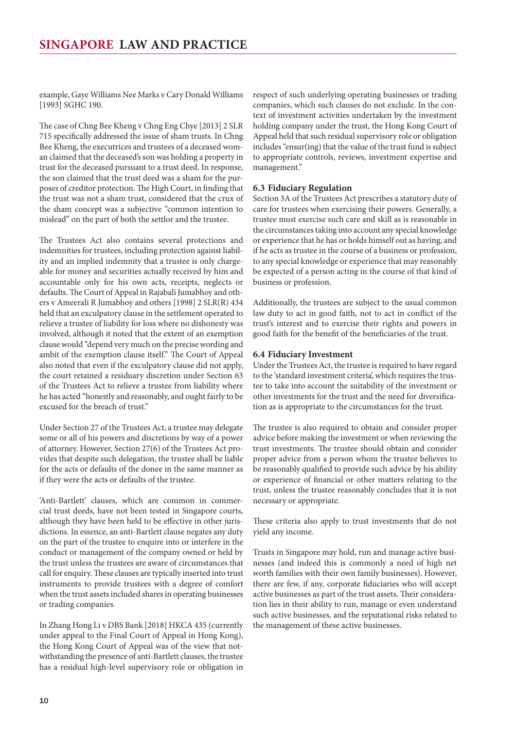<span id="page-9-0"></span>example, Gaye Williams Nee Marks v Cary Donald Williams [1993] SGHC 190.

The case of Chng Bee Kheng v Chng Eng Chye [2013] 2 SLR 715 specifically addressed the issue of sham trusts. In Chng Bee Kheng, the executrices and trustees of a deceased woman claimed that the deceased's son was holding a property in trust for the deceased pursuant to a trust deed. In response, the son claimed that the trust deed was a sham for the purposes of creditor protection. The High Court, in finding that the trust was not a sham trust, considered that the crux of the sham concept was a subjective "common intention to mislead" on the part of both the settlor and the trustee.

The Trustees Act also contains several protections and indemnities for trustees, including protection against liability and an implied indemnity that a trustee is only chargeable for money and securities actually received by him and accountable only for his own acts, receipts, neglects or defaults. The Court of Appeal in Rajabali Jumabhoy and others v Ameerali R Jumabhoy and others [1998] 2 SLR(R) 434 held that an exculpatory clause in the settlement operated to relieve a trustee of liability for loss where no dishonesty was involved, although it noted that the extent of an exemption clause would "depend very much on the precise wording and ambit of the exemption clause itself." The Court of Appeal also noted that even if the exculpatory clause did not apply, the court retained a residuary discretion under Section 63 of the Trustees Act to relieve a trustee from liability where he has acted "honestly and reasonably, and ought fairly to be excused for the breach of trust."

Under Section 27 of the Trustees Act, a trustee may delegate some or all of his powers and discretions by way of a power of attorney. However, Section 27(6) of the Trustees Act provides that despite such delegation, the trustee shall be liable for the acts or defaults of the donee in the same manner as if they were the acts or defaults of the trustee.

'Anti-Bartlett' clauses, which are common in commercial trust deeds, have not been tested in Singapore courts, although they have been held to be effective in other jurisdictions. In essence, an anti-Bartlett clause negates any duty on the part of the trustee to enquire into or interfere in the conduct or management of the company owned or held by the trust unless the trustees are aware of circumstances that call for enquiry. These clauses are typically inserted into trust instruments to provide trustees with a degree of comfort when the trust assets included shares in operating businesses or trading companies.

In Zhang Hong Li v DBS Bank [2018] HKCA 435 (currently under appeal to the Final Court of Appeal in Hong Kong), the Hong Kong Court of Appeal was of the view that notwithstanding the presence of anti-Bartlett clauses, the trustee has a residual high-level supervisory role or obligation in respect of such underlying operating businesses or trading companies, which such clauses do not exclude. In the context of investment activities undertaken by the investment holding company under the trust, the Hong Kong Court of Appeal held that such residual supervisory role or obligation includes "ensur(ing) that the value of the trust fund is subject to appropriate controls, reviews, investment expertise and management."

#### **6.3 Fiduciary Regulation**

Section 3A of the Trustees Act prescribes a statutory duty of care for trustees when exercising their powers. Generally, a trustee must exercise such care and skill as is reasonable in the circumstances taking into account any special knowledge or experience that he has or holds himself out as having, and if he acts as trustee in the course of a business or profession, to any special knowledge or experience that may reasonably be expected of a person acting in the course of that kind of business or profession.

Additionally, the trustees are subject to the usual common law duty to act in good faith, not to act in conflict of the trust's interest and to exercise their rights and powers in good faith for the benefit of the beneficiaries of the trust.

#### **6.4 Fiduciary Investment**

Under the Trustees Act, the trustee is required to have regard to the 'standard investment criteria', which requires the trustee to take into account the suitability of the investment or other investments for the trust and the need for diversification as is appropriate to the circumstances for the trust.

The trustee is also required to obtain and consider proper advice before making the investment or when reviewing the trust investments. The trustee should obtain and consider proper advice from a person whom the trustee believes to be reasonably qualified to provide such advice by his ability or experience of financial or other matters relating to the trust, unless the trustee reasonably concludes that it is not necessary or appropriate.

These criteria also apply to trust investments that do not yield any income.

Trusts in Singapore may hold, run and manage active businesses (and indeed this is commonly a need of high net worth families with their own family businesses). However, there are few, if any, corporate fiduciaries who will accept active businesses as part of the trust assets. Their consideration lies in their ability to run, manage or even understand such active businesses, and the reputational risks related to the management of these active businesses.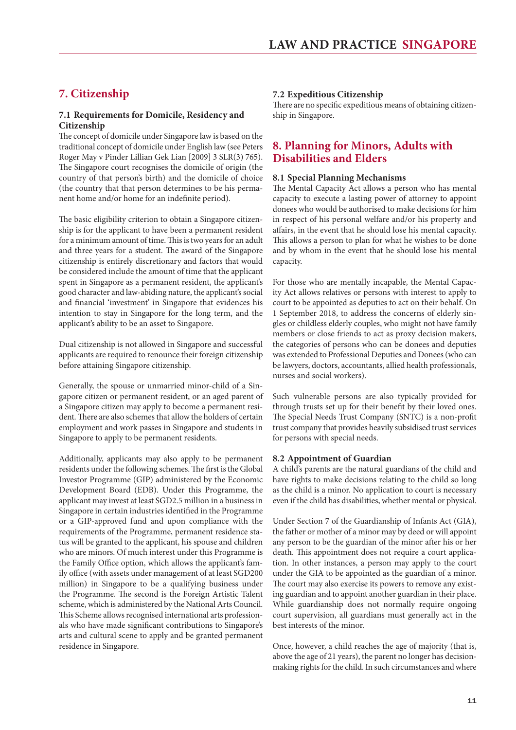#### <span id="page-10-0"></span>**7. Citizenship**

#### **7.1 Requirements for Domicile, Residency and Citizenship**

The concept of domicile under Singapore law is based on the traditional concept of domicile under English law (see Peters Roger May v Pinder Lillian Gek Lian [2009] 3 SLR(3) 765). The Singapore court recognises the domicile of origin (the country of that person's birth) and the domicile of choice (the country that that person determines to be his permanent home and/or home for an indefinite period).

The basic eligibility criterion to obtain a Singapore citizenship is for the applicant to have been a permanent resident for a minimum amount of time. This is two years for an adult and three years for a student. The award of the Singapore citizenship is entirely discretionary and factors that would be considered include the amount of time that the applicant spent in Singapore as a permanent resident, the applicant's good character and law-abiding nature, the applicant's social and financial 'investment' in Singapore that evidences his intention to stay in Singapore for the long term, and the applicant's ability to be an asset to Singapore.

Dual citizenship is not allowed in Singapore and successful applicants are required to renounce their foreign citizenship before attaining Singapore citizenship.

Generally, the spouse or unmarried minor-child of a Singapore citizen or permanent resident, or an aged parent of a Singapore citizen may apply to become a permanent resident. There are also schemes that allow the holders of certain employment and work passes in Singapore and students in Singapore to apply to be permanent residents.

Additionally, applicants may also apply to be permanent residents under the following schemes. The first is the Global Investor Programme (GIP) administered by the Economic Development Board (EDB). Under this Programme, the applicant may invest at least SGD2.5 million in a business in Singapore in certain industries identified in the Programme or a GIP-approved fund and upon compliance with the requirements of the Programme, permanent residence status will be granted to the applicant, his spouse and children who are minors. Of much interest under this Programme is the Family Office option, which allows the applicant's family office (with assets under management of at least SGD200 million) in Singapore to be a qualifying business under the Programme. The second is the Foreign Artistic Talent scheme, which is administered by the National Arts Council. This Scheme allows recognised international arts professionals who have made significant contributions to Singapore's arts and cultural scene to apply and be granted permanent residence in Singapore.

#### **7.2 Expeditious Citizenship**

There are no specific expeditious means of obtaining citizenship in Singapore.

#### **8. Planning for Minors, Adults with Disabilities and Elders**

#### **8.1 Special Planning Mechanisms**

The Mental Capacity Act allows a person who has mental capacity to execute a lasting power of attorney to appoint donees who would be authorised to make decisions for him in respect of his personal welfare and/or his property and affairs, in the event that he should lose his mental capacity. This allows a person to plan for what he wishes to be done and by whom in the event that he should lose his mental capacity.

For those who are mentally incapable, the Mental Capacity Act allows relatives or persons with interest to apply to court to be appointed as deputies to act on their behalf. On 1 September 2018, to address the concerns of elderly singles or childless elderly couples, who might not have family members or close friends to act as proxy decision makers, the categories of persons who can be donees and deputies was extended to Professional Deputies and Donees (who can be lawyers, doctors, accountants, allied health professionals, nurses and social workers).

Such vulnerable persons are also typically provided for through trusts set up for their benefit by their loved ones. The Special Needs Trust Company (SNTC) is a non-profit trust company that provides heavily subsidised trust services for persons with special needs.

#### **8.2 Appointment of Guardian**

A child's parents are the natural guardians of the child and have rights to make decisions relating to the child so long as the child is a minor. No application to court is necessary even if the child has disabilities, whether mental or physical.

Under Section 7 of the Guardianship of Infants Act (GIA), the father or mother of a minor may by deed or will appoint any person to be the guardian of the minor after his or her death. This appointment does not require a court application. In other instances, a person may apply to the court under the GIA to be appointed as the guardian of a minor. The court may also exercise its powers to remove any existing guardian and to appoint another guardian in their place. While guardianship does not normally require ongoing court supervision, all guardians must generally act in the best interests of the minor.

Once, however, a child reaches the age of majority (that is, above the age of 21 years), the parent no longer has decisionmaking rights for the child. In such circumstances and where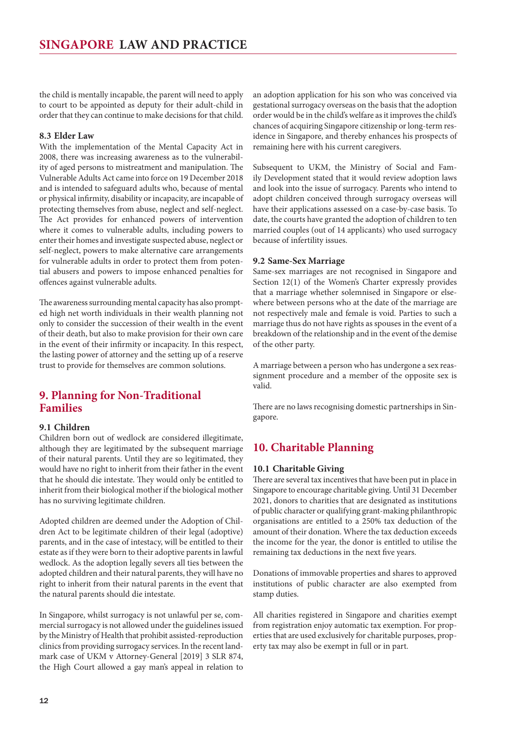<span id="page-11-0"></span>the child is mentally incapable, the parent will need to apply to court to be appointed as deputy for their adult-child in order that they can continue to make decisions for that child.

#### **8.3 Elder Law**

With the implementation of the Mental Capacity Act in 2008, there was increasing awareness as to the vulnerability of aged persons to mistreatment and manipulation. The Vulnerable Adults Act came into force on 19 December 2018 and is intended to safeguard adults who, because of mental or physical infirmity, disability or incapacity, are incapable of protecting themselves from abuse, neglect and self-neglect. The Act provides for enhanced powers of intervention where it comes to vulnerable adults, including powers to enter their homes and investigate suspected abuse, neglect or self-neglect, powers to make alternative care arrangements for vulnerable adults in order to protect them from potential abusers and powers to impose enhanced penalties for offences against vulnerable adults.

The awareness surrounding mental capacity has also prompted high net worth individuals in their wealth planning not only to consider the succession of their wealth in the event of their death, but also to make provision for their own care in the event of their infirmity or incapacity. In this respect, the lasting power of attorney and the setting up of a reserve trust to provide for themselves are common solutions.

#### **9. Planning for Non-Traditional Families**

#### **9.1 Children**

Children born out of wedlock are considered illegitimate, although they are legitimated by the subsequent marriage of their natural parents. Until they are so legitimated, they would have no right to inherit from their father in the event that he should die intestate. They would only be entitled to inherit from their biological mother if the biological mother has no surviving legitimate children.

Adopted children are deemed under the Adoption of Children Act to be legitimate children of their legal (adoptive) parents, and in the case of intestacy, will be entitled to their estate as if they were born to their adoptive parents in lawful wedlock. As the adoption legally severs all ties between the adopted children and their natural parents, they will have no right to inherit from their natural parents in the event that the natural parents should die intestate.

In Singapore, whilst surrogacy is not unlawful per se, commercial surrogacy is not allowed under the guidelines issued by the Ministry of Health that prohibit assisted-reproduction clinics from providing surrogacy services. In the recent landmark case of UKM v Attorney-General [2019] 3 SLR 874, the High Court allowed a gay man's appeal in relation to an adoption application for his son who was conceived via gestational surrogacy overseas on the basis that the adoption order would be in the child's welfare as it improves the child's chances of acquiring Singapore citizenship or long-term residence in Singapore, and thereby enhances his prospects of remaining here with his current caregivers.

Subsequent to UKM, the Ministry of Social and Family Development stated that it would review adoption laws and look into the issue of surrogacy. Parents who intend to adopt children conceived through surrogacy overseas will have their applications assessed on a case-by-case basis. To date, the courts have granted the adoption of children to ten married couples (out of 14 applicants) who used surrogacy because of infertility issues.

#### **9.2 Same-Sex Marriage**

Same-sex marriages are not recognised in Singapore and Section 12(1) of the Women's Charter expressly provides that a marriage whether solemnised in Singapore or elsewhere between persons who at the date of the marriage are not respectively male and female is void. Parties to such a marriage thus do not have rights as spouses in the event of a breakdown of the relationship and in the event of the demise of the other party.

A marriage between a person who has undergone a sex reassignment procedure and a member of the opposite sex is valid.

There are no laws recognising domestic partnerships in Singapore.

#### **10. Charitable Planning**

#### **10.1 Charitable Giving**

There are several tax incentives that have been put in place in Singapore to encourage charitable giving. Until 31 December 2021, donors to charities that are designated as institutions of public character or qualifying grant-making philanthropic organisations are entitled to a 250% tax deduction of the amount of their donation. Where the tax deduction exceeds the income for the year, the donor is entitled to utilise the remaining tax deductions in the next five years.

Donations of immovable properties and shares to approved institutions of public character are also exempted from stamp duties.

All charities registered in Singapore and charities exempt from registration enjoy automatic tax exemption. For properties that are used exclusively for charitable purposes, property tax may also be exempt in full or in part.